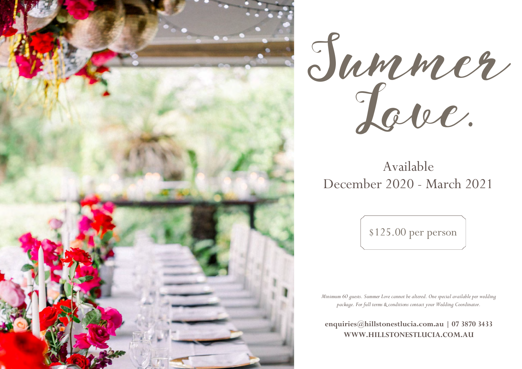



# Available December 2020 - March 2021

\$125.00 per person

*Minimum 60 guests. Summer Love cannot be altered. One special available per wedding package. For full terms & conditions contact your Wedding Coordinator.*

**[enquiries@hillstonestlucia.com.au](mailto:enquiries@hillstonestlucia.com.au) | 07 3870 3433 [WWW.HILLSTONESTLUCIA.COM.AU](http://www.hillstonestlucia.com.au/)**